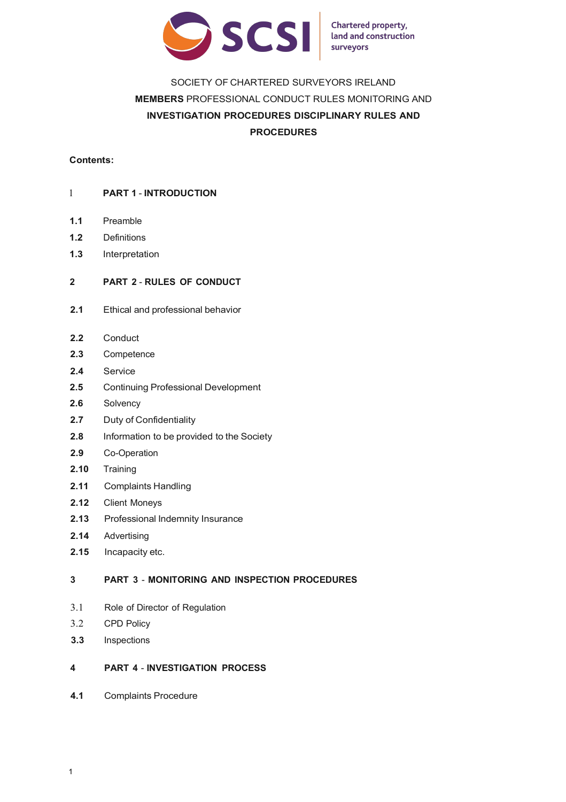

**Chartered property,** land and construction surveyors

# SOCIETY OF CHARTERED SURVEYORS IRELAND **MEMBERS** PROFESSIONAL CONDUCT RULES MONITORING AND **INVESTIGATION PROCEDURES DISCIPLINARY RULES AND PROCEDURES**

## **Contents:**

## 1 **PART 1** - **INTRODUCTION**

- **1.1** Preamble
- **1.2** Definitions
- **1.3** Interpretation

#### **2 PART 2** - **RULES OF CONDUCT**

- **2.1** Ethical and professional behavior
- **2.2** Conduct
- **2.3** Competence
- **2.4** Service
- **2.5** Continuing Professional Development
- **2.6** Solvency
- **2.7** Duty of Confidentiality
- **2.8** Information to be provided to the Society
- **2.9** Co-Operation
- **2.10** Training
- **2.11** Complaints Handling
- **2.12** Client Moneys
- **2.13** Professional Indemnity Insurance
- **2.14** Advertising
- **2.15** Incapacity etc.

## **3 PART 3** - **MONITORING AND INSPECTION PROCEDURES**

- 3.1 Role of Director of Regulation
- 3.2 CPD Policy
- **3.3** Inspections

## **4 PART 4** - **INVESTIGATION PROCESS**

**4.1** Complaints Procedure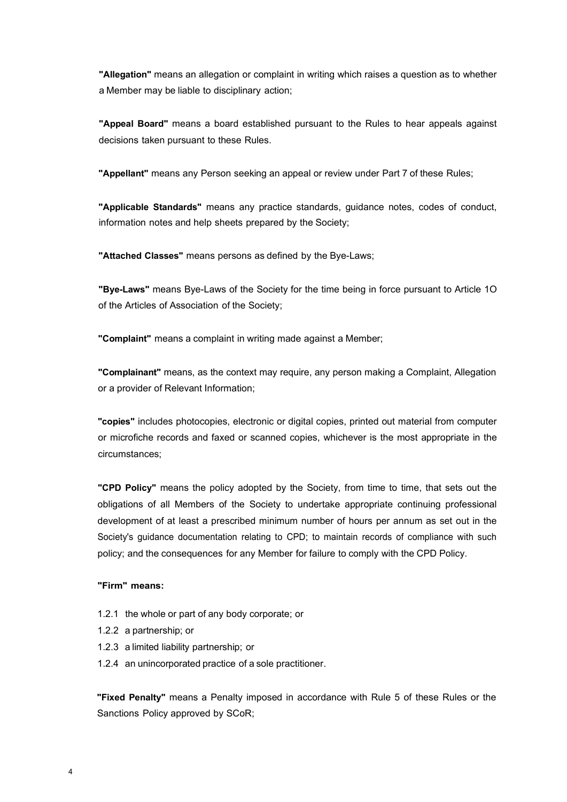**"Allegation"** means an allegation or complaint in writing which raises a question as to whether a Member may be liable to disciplinary action;

**"Appeal Board"** means a board established pursuant to the Rules to hear appeals against decisions taken pursuant to these Rules.

**"Appellant"** means any Person seeking an appeal or review under Part 7 of these Rules;

**"Applicable Standards"** means any practice standards, guidance notes, codes of conduct, information notes and help sheets prepared by the Society;

**"Attached Classes"** means persons as defined by the Bye-Laws;

**"Bye-Laws"** means Bye-Laws of the Society for the time being in force pursuant to Article 1O of the Articles of Association of the Society;

**"Complaint"** means a complaint in writing made against a Member;

**"Complainant"** means, as the context may require, any person making a Complaint, Allegation or a provider of Relevant Information;

**"copies"** includes photocopies, electronic or digital copies, printed out material from computer or microfiche records and faxed or scanned copies, whichever is the most appropriate in the circumstances;

**"CPD Policy"** means the policy adopted by the Society, from time to time, that sets out the obligations of all Members of the Society to undertake appropriate continuing professional development of at least a prescribed minimum number of hours per annum as set out in the Society's guidance documentation relating to CPD; to maintain records of compliance with such policy; and the consequences for any Member for failure to comply with the CPD Policy.

## **"Firm" means:**

- 1.2.1 the whole or part of any body corporate; or
- 1.2.2 a partnership; or
- 1.2.3 a limited liability partnership; or
- 1.2.4 an unincorporated practice of a sole practitioner.

**"Fixed Penalty"** means a Penalty imposed in accordance with Rule 5 of these Rules or the Sanctions Policy approved by SCoR;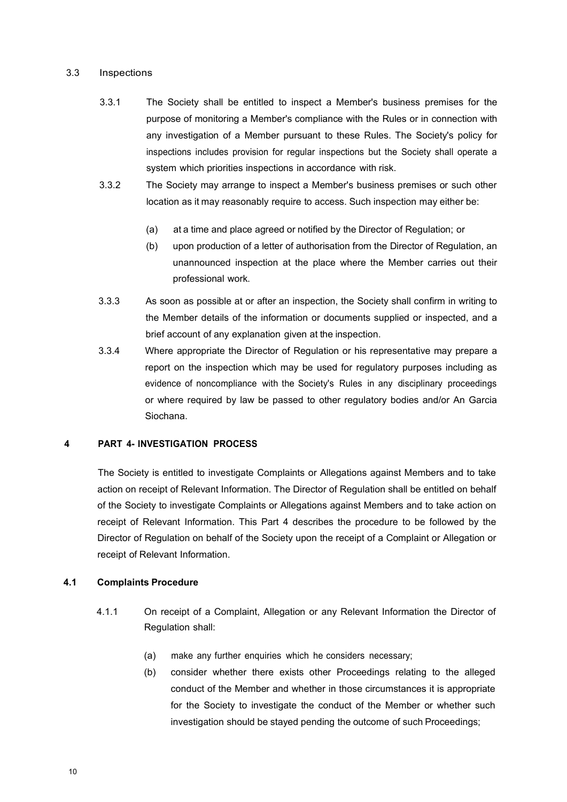#### 3.3 Inspections

- 3.3.1 The Society shall be entitled to inspect a Member's business premises for the purpose of monitoring a Member's compliance with the Rules or in connection with any investigation of a Member pursuant to these Rules. The Society's policy for inspections includes provision for regular inspections but the Society shall operate a system which priorities inspections in accordance with risk.
- 3.3.2 The Society may arrange to inspect a Member's business premises or such other location as it may reasonably require to access. Such inspection may either be:
	- (a) at a time and place agreed or notified by the Director of Regulation; or
	- (b) upon production of a letter of authorisation from the Director of Regulation, an unannounced inspection at the place where the Member carries out their professional work.
- 3.3.3 As soon as possible at or after an inspection, the Society shall confirm in writing to the Member details of the information or documents supplied or inspected, and a brief account of any explanation given at the inspection.
- 3.3.4 Where appropriate the Director of Regulation or his representative may prepare a report on the inspection which may be used for regulatory purposes including as evidence of noncompliance with the Society's Rules in any disciplinary proceedings or where required by law be passed to other regulatory bodies and/or An Garcia Siochana.

#### **4 PART 4- INVESTIGATION PROCESS**

The Society is entitled to investigate Complaints or Allegations against Members and to take action on receipt of Relevant Information. The Director of Regulation shall be entitled on behalf of the Society to investigate Complaints or Allegations against Members and to take action on receipt of Relevant Information. This Part 4 describes the procedure to be followed by the Director of Regulation on behalf of the Society upon the receipt of a Complaint or Allegation or receipt of Relevant Information.

#### **4.1 Complaints Procedure**

- 4.1.1 On receipt of a Complaint, Allegation or any Relevant Information the Director of Regulation shall:
	- (a) make any further enquiries which he considers necessary;
	- (b) consider whether there exists other Proceedings relating to the alleged conduct of the Member and whether in those circumstances it is appropriate for the Society to investigate the conduct of the Member or whether such investigation should be stayed pending the outcome of such Proceedings;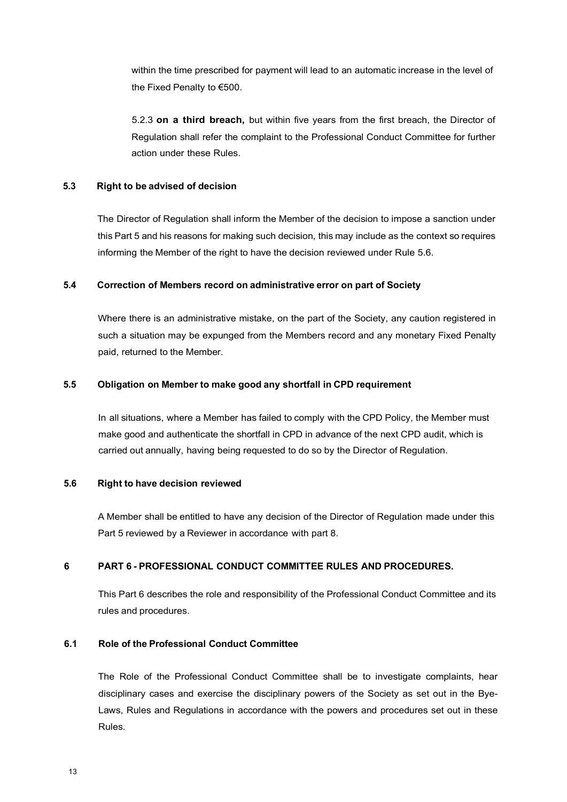within the time prescribed for payment will lead to an automatic increase in the level of the Fixed Penalty to €500.

5.2.3 **on a third breach,** but within five years from the first breach, the Director of Regulation shall refer the complaint to the Professional Conduct Committee for further action under these Rules.

## **5.3 Right to be advised of decision**

The Director of Regulation shall inform the Member of the decision to impose a sanction under this Part 5 and his reasons for making such decision, this may include as the context so requires informing the Member of the right to have the decision reviewed under Rule 5.6.

#### **5.4 Correction of Members record on administrative error on part of Society**

Where there is an administrative mistake, on the part of the Society, any caution registered in such a situation may be expunged from the Members record and any monetary Fixed Penalty paid, returned to the Member.

## **5.5 Obligation on Member to make good any shortfall in CPD requirement**

In all situations, where a Member has failed to comply with the CPD Policy, the Member must make good and authenticate the shortfall in CPD in advance of the next CPD audit, which is carried out annually, having being requested to do so by the Director of Regulation.

#### **5.6 Right to have decision reviewed**

A Member shall be entitled to have any decision of the Director of Regulation made under this Part 5 reviewed by a Reviewer in accordance with part 8.

## **6 PART 6 - PROFESSIONAL CONDUCT COMMITTEE RULES AND PROCEDURES.**

This Part 6 describes the role and responsibility of the Professional Conduct Committee and its rules and procedures.

## **6.1 Role of the Professional Conduct Committee**

The Role of the Professional Conduct Committee shall be to investigate complaints, hear disciplinary cases and exercise the disciplinary powers of the Society as set out in the Bye-Laws, Rules and Regulations in accordance with the powers and procedures set out in these Rules.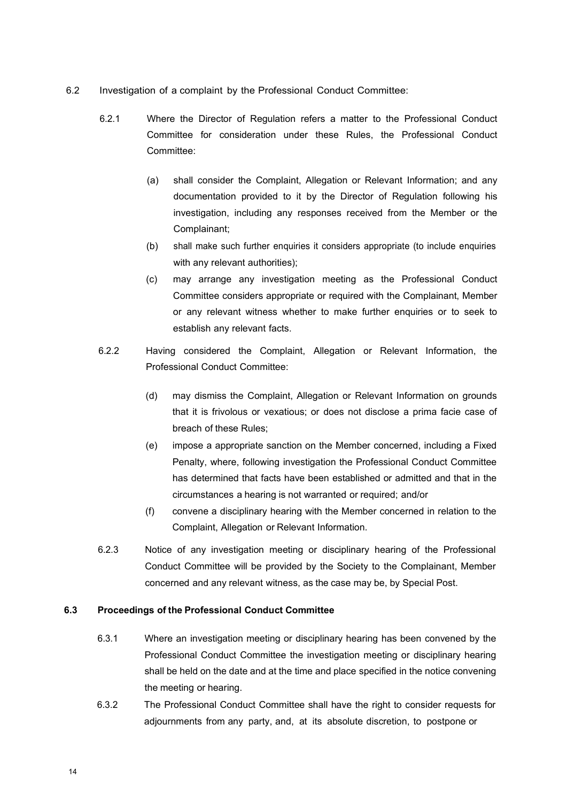- 6.2 Investigation of a complaint by the Professional Conduct Committee:
	- 6.2.1 Where the Director of Regulation refers a matter to the Professional Conduct Committee for consideration under these Rules, the Professional Conduct Committee:
		- (a) shall consider the Complaint, Allegation or Relevant Information; and any documentation provided to it by the Director of Regulation following his investigation, including any responses received from the Member or the Complainant;
		- (b) shall make such further enquiries it considers appropriate (to include enquiries with any relevant authorities):
		- (c) may arrange any investigation meeting as the Professional Conduct Committee considers appropriate or required with the Complainant, Member or any relevant witness whether to make further enquiries or to seek to establish any relevant facts.
	- 6.2.2 Having considered the Complaint, Allegation or Relevant Information, the Professional Conduct Committee:
		- (d) may dismiss the Complaint, Allegation or Relevant Information on grounds that it is frivolous or vexatious; or does not disclose a prima facie case of breach of these Rules;
		- (e) impose a appropriate sanction on the Member concerned, including a Fixed Penalty, where, following investigation the Professional Conduct Committee has determined that facts have been established or admitted and that in the circumstances a hearing is not warranted or required; and/or
		- (f) convene a disciplinary hearing with the Member concerned in relation to the Complaint, Allegation or Relevant Information.
	- 6.2.3 Notice of any investigation meeting or disciplinary hearing of the Professional Conduct Committee will be provided by the Society to the Complainant, Member concerned and any relevant witness, as the case may be, by Special Post.

## **6.3 Proceedings of the Professional Conduct Committee**

- 6.3.1 Where an investigation meeting or disciplinary hearing has been convened by the Professional Conduct Committee the investigation meeting or disciplinary hearing shall be held on the date and at the time and place specified in the notice convening the meeting or hearing.
- 6.3.2 The Professional Conduct Committee shall have the right to consider requests for adjournments from any party, and, at its absolute discretion, to postpone or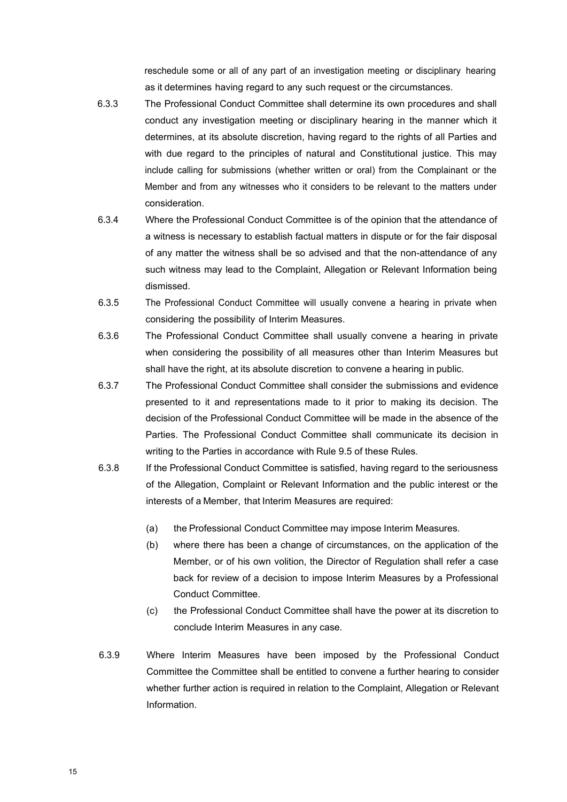reschedule some or all of any part of an investigation meeting or disciplinary hearing as it determines having regard to any such request or the circumstances.

- 6.3.3 The Professional Conduct Committee shall determine its own procedures and shall conduct any investigation meeting or disciplinary hearing in the manner which it determines, at its absolute discretion, having regard to the rights of all Parties and with due regard to the principles of natural and Constitutional justice. This may include calling for submissions (whether written or oral) from the Complainant or the Member and from any witnesses who it considers to be relevant to the matters under consideration.
- 6.3.4 Where the Professional Conduct Committee is of the opinion that the attendance of a witness is necessary to establish factual matters in dispute or for the fair disposal of any matter the witness shall be so advised and that the non-attendance of any such witness may lead to the Complaint, Allegation or Relevant Information being dismissed.
- 6.3.5 The Professional Conduct Committee will usually convene a hearing in private when considering the possibility of Interim Measures.
- 6.3.6 The Professional Conduct Committee shall usually convene a hearing in private when considering the possibility of all measures other than Interim Measures but shall have the right, at its absolute discretion to convene a hearing in public.
- 6.3.7 The Professional Conduct Committee shall consider the submissions and evidence presented to it and representations made to it prior to making its decision. The decision of the Professional Conduct Committee will be made in the absence of the Parties. The Professional Conduct Committee shall communicate its decision in writing to the Parties in accordance with Rule 9.5 of these Rules.
- 6.3.8 If the Professional Conduct Committee is satisfied, having regard to the seriousness of the Allegation, Complaint or Relevant Information and the public interest or the interests of a Member, that Interim Measures are required:
	- (a) the Professional Conduct Committee may impose Interim Measures.
	- (b) where there has been a change of circumstances, on the application of the Member, or of his own volition, the Director of Regulation shall refer a case back for review of a decision to impose Interim Measures by a Professional Conduct Committee.
	- (c) the Professional Conduct Committee shall have the power at its discretion to conclude Interim Measures in any case.
- 6.3.9 Where Interim Measures have been imposed by the Professional Conduct Committee the Committee shall be entitled to convene a further hearing to consider whether further action is required in relation to the Complaint, Allegation or Relevant Information.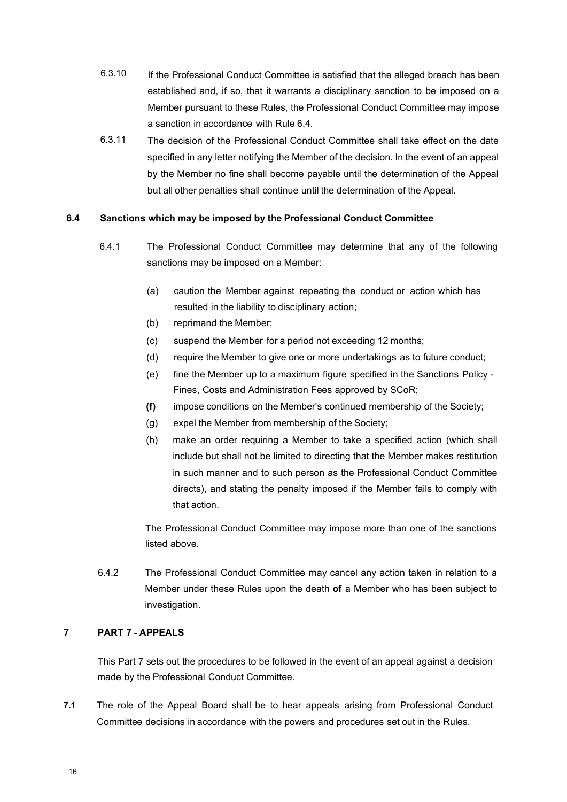- 6.3.10 If the Professional Conduct Committee is satisfied that the alleged breach has been established and, if so, that it warrants a disciplinary sanction to be imposed on a Member pursuant to these Rules, the Professional Conduct Committee may impose a sanction in accordance with Rule 6.4.
- 6.3.11 The decision of the Professional Conduct Committee shall take effect on the date specified in any letter notifying the Member of the decision. In the event of an appeal by the Member no fine shall become payable until the determination of the Appeal but all other penalties shall continue until the determination of the Appeal.

## **6.4 Sanctions which may be imposed by the Professional Conduct Committee**

- 6.4.1 The Professional Conduct Committee may determine that any of the following sanctions may be imposed on a Member:
	- (a) caution the Member against repeating the conduct or action which has resulted in the liability to disciplinary action;
	- (b) reprimand the Member;
	- (c) suspend the Member for a period not exceeding 12 months;
	- (d) require the Member to give one or more undertakings as to future conduct;
	- (e) fine the Member up to a maximum figure specified in the Sanctions Policy Fines, Costs and Administration Fees approved by SCoR;
	- **(f)** impose conditions on the Member's continued membership of the Society;
	- (g) expel the Member from membership of the Society;
	- (h) make an order requiring a Member to take a specified action (which shall include but shall not be limited to directing that the Member makes restitution in such manner and to such person as the Professional Conduct Committee directs), and stating the penalty imposed if the Member fails to comply with that action.

The Professional Conduct Committee may impose more than one of the sanctions listed above.

6.4.2 The Professional Conduct Committee may cancel any action taken in relation to a Member under these Rules upon the death **of** a Member who has been subject to investigation.

## **7 PART 7 - APPEALS**

This Part 7 sets out the procedures to be followed in the event of an appeal against a decision made by the Professional Conduct Committee.

**7.1** The role of the Appeal Board shall be to hear appeals arising from Professional Conduct Committee decisions in accordance with the powers and procedures set out in the Rules.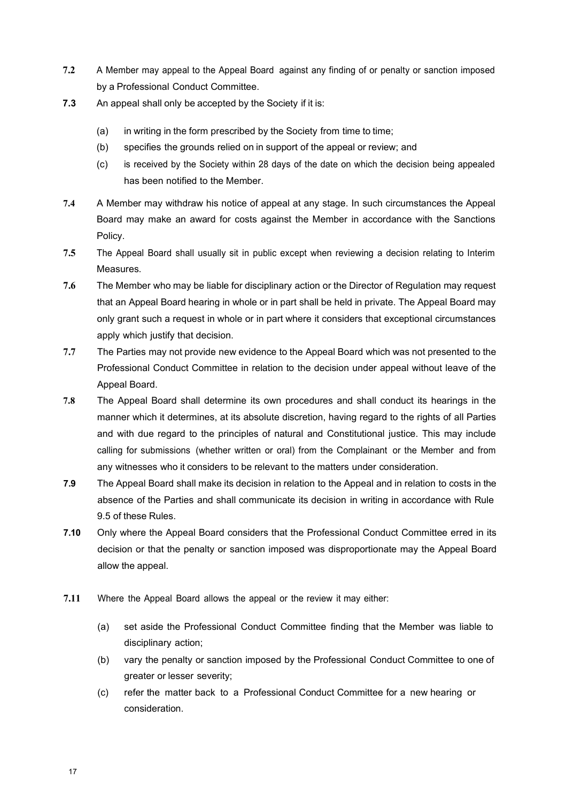- **7.2** A Member may appeal to the Appeal Board against any finding of or penalty or sanction imposed by a Professional Conduct Committee.
- **7.3** An appeal shall only be accepted by the Society if it is:
	- (a) in writing in the form prescribed by the Society from time to time;
	- (b) specifies the grounds relied on in support of the appeal or review; and
	- (c) is received by the Society within 28 days of the date on which the decision being appealed has been notified to the Member.
- **7.4** A Member may withdraw his notice of appeal at any stage. In such circumstances the Appeal Board may make an award for costs against the Member in accordance with the Sanctions Policy.
- **7.5** The Appeal Board shall usually sit in public except when reviewing a decision relating to Interim Measures.
- **7.6** The Member who may be liable for disciplinary action or the Director of Regulation may request that an Appeal Board hearing in whole or in part shall be held in private. The Appeal Board may only grant such a request in whole or in part where it considers that exceptional circumstances apply which justify that decision.
- **7.7** The Parties may not provide new evidence to the Appeal Board which was not presented to the Professional Conduct Committee in relation to the decision under appeal without leave of the Appeal Board.
- **7.8** The Appeal Board shall determine its own procedures and shall conduct its hearings in the manner which it determines, at its absolute discretion, having regard to the rights of all Parties and with due regard to the principles of natural and Constitutional justice. This may include calling for submissions (whether written or oral) from the Complainant or the Member and from any witnesses who it considers to be relevant to the matters under consideration.
- **7.9** The Appeal Board shall make its decision in relation to the Appeal and in relation to costs in the absence of the Parties and shall communicate its decision in writing in accordance with Rule 9.5 of these Rules.
- **7.10** Only where the Appeal Board considers that the Professional Conduct Committee erred in its decision or that the penalty or sanction imposed was disproportionate may the Appeal Board allow the appeal.
- **7.11** Where the Appeal Board allows the appeal or the review it may either:
	- (a) set aside the Professional Conduct Committee finding that the Member was liable to disciplinary action;
	- (b) vary the penalty or sanction imposed by the Professional Conduct Committee to one of greater or lesser severity;
	- (c) refer the matter back to a Professional Conduct Committee for a new hearing or consideration.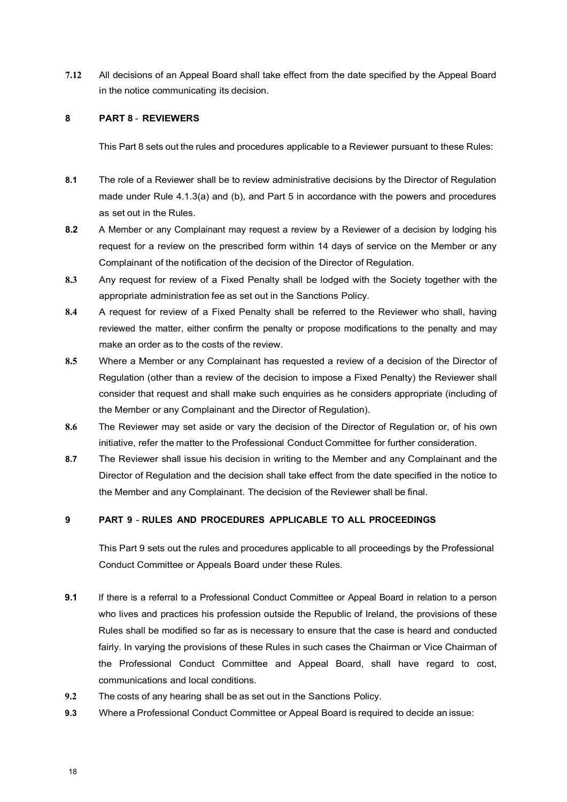**7.12** All decisions of an Appeal Board shall take effect from the date specified by the Appeal Board in the notice communicating its decision.

#### **8 PART 8** - **REVIEWERS**

This Part 8 sets out the rules and procedures applicable to a Reviewer pursuant to these Rules:

- **8.1** The role of a Reviewer shall be to review administrative decisions by the Director of Regulation made under Rule 4.1.3(a) and (b), and Part 5 in accordance with the powers and procedures as set out in the Rules.
- **8.2** A Member or any Complainant may request a review by a Reviewer of a decision by lodging his request for a review on the prescribed form within 14 days of service on the Member or any Complainant of the notification of the decision of the Director of Regulation.
- **8.3** Any request for review of a Fixed Penalty shall be lodged with the Society together with the appropriate administration fee as set out in the Sanctions Policy.
- **8.4** A request for review of a Fixed Penalty shall be referred to the Reviewer who shall, having reviewed the matter, either confirm the penalty or propose modifications to the penalty and may make an order as to the costs of the review.
- **8.5** Where a Member or any Complainant has requested a review of a decision of the Director of Regulation (other than a review of the decision to impose a Fixed Penalty) the Reviewer shall consider that request and shall make such enquiries as he considers appropriate (including of the Member or any Complainant and the Director of Regulation).
- **8.6** The Reviewer may set aside or vary the decision of the Director of Regulation or, of his own initiative, refer the matter to the Professional Conduct Committee for further consideration.
- **8.7** The Reviewer shall issue his decision in writing to the Member and any Complainant and the Director of Regulation and the decision shall take effect from the date specified in the notice to the Member and any Complainant. The decision of the Reviewer shall be final.

#### **9 PART 9** - **RULES AND PROCEDURES APPLICABLE TO ALL PROCEEDINGS**

This Part 9 sets out the rules and procedures applicable to all proceedings by the Professional Conduct Committee or Appeals Board under these Rules.

- **9.1** If there is a referral to a Professional Conduct Committee or Appeal Board in relation to a person who lives and practices his profession outside the Republic of Ireland, the provisions of these Rules shall be modified so far as is necessary to ensure that the case is heard and conducted fairly. In varying the provisions of these Rules in such cases the Chairman or Vice Chairman of the Professional Conduct Committee and Appeal Board, shall have regard to cost, communications and local conditions.
- **9.2** The costs of any hearing shall be as set out in the Sanctions Policy.
- **9.3** Where a Professional Conduct Committee or Appeal Board is required to decide an issue: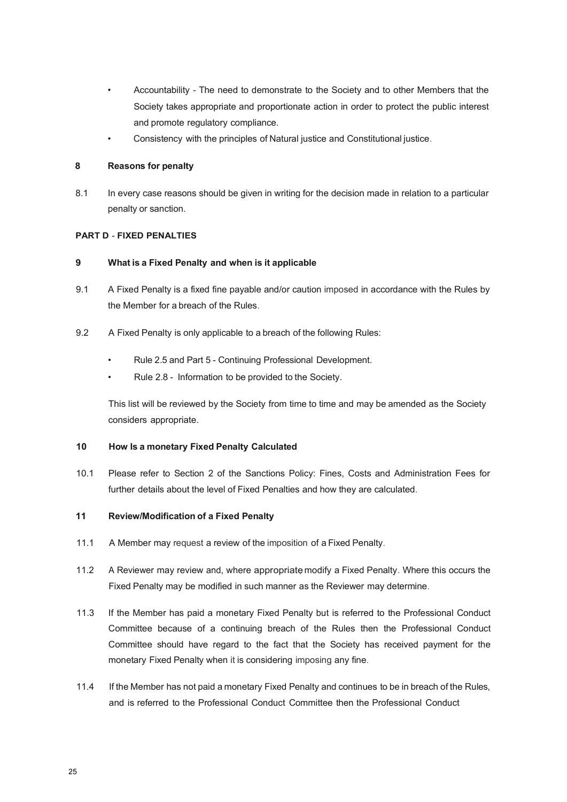- Accountability The need to demonstrate to the Society and to other Members that the Society takes appropriate and proportionate action in order to protect the public interest and promote regulatory compliance.
- Consistency with the principles of Natural justice and Constitutional justice.

#### **8 Reasons for penalty**

8.1 In every case reasons should be given in writing for the decision made in relation to a particular penalty or sanction.

#### **PART D** - **FIXED PENALTIES**

#### **9 What is a Fixed Penalty and when is it applicable**

- 9.1 A Fixed Penalty is a fixed fine payable and/or caution imposed in accordance with the Rules by the Member for a breach of the Rules.
- 9.2 A Fixed Penalty is only applicable to a breach of the following Rules:
	- Rule 2.5 and Part 5 Continuing Professional Development.
	- Rule 2.8 Information to be provided to the Society.

This list will be reviewed by the Society from time to time and may be amended as the Society considers appropriate.

#### **10 How Is a monetary Fixed Penalty Calculated**

10.1 Please refer to Section 2 of the Sanctions Policy: Fines, Costs and Administration Fees for further details about the level of Fixed Penalties and how they are calculated.

## **11 Review/Modification of a Fixed Penalty**

- 11.1 A Member may request a review of the imposition of a Fixed Penalty.
- 11.2 A Reviewer may review and, where appropriate modify a Fixed Penalty. Where this occurs the Fixed Penalty may be modified in such manner as the Reviewer may determine.
- 11.3 If the Member has paid a monetary Fixed Penalty but is referred to the Professional Conduct Committee because of a continuing breach of the Rules then the Professional Conduct Committee should have regard to the fact that the Society has received payment for the monetary Fixed Penalty when it is considering imposing any fine.
- 11.4 If the Member has not paid a monetary Fixed Penalty and continues to be in breach of the Rules, and is referred to the Professional Conduct Committee then the Professional Conduct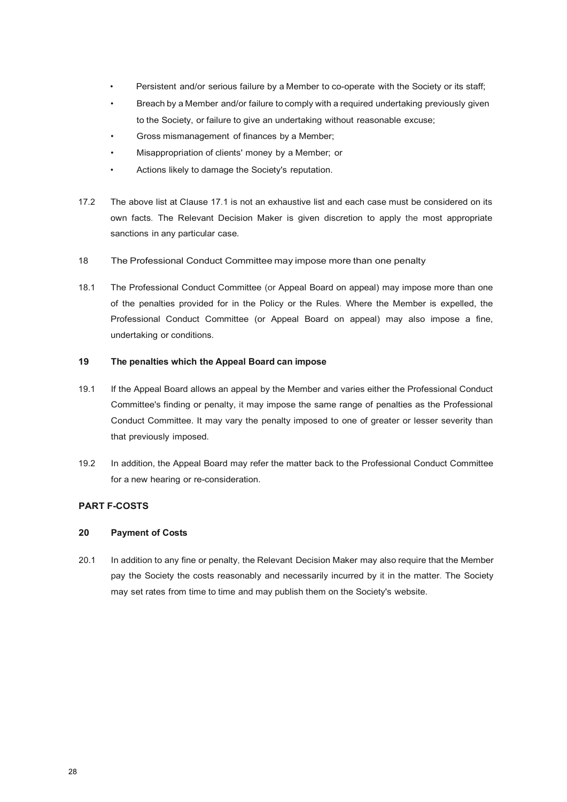- Persistent and/or serious failure by a Member to co-operate with the Society or its staff;
- Breach by a Member and/or failure to comply with a required undertaking previously given to the Society, or failure to give an undertaking without reasonable excuse;
- Gross mismanagement of finances by a Member;
- Misappropriation of clients' money by a Member; or
- Actions likely to damage the Society's reputation.
- 17.2 The above list at Clause 17.1 is not an exhaustive list and each case must be considered on its own facts. The Relevant Decision Maker is given discretion to apply the most appropriate sanctions in any particular case.
- 18 The Professional Conduct Committee may impose more than one penalty
- 18.1 The Professional Conduct Committee (or Appeal Board on appeal) may impose more than one of the penalties provided for in the Policy or the Rules. Where the Member is expelled, the Professional Conduct Committee (or Appeal Board on appeal) may also impose a fine, undertaking or conditions.

#### **19 The penalties which the Appeal Board can impose**

- 19.1 If the Appeal Board allows an appeal by the Member and varies either the Professional Conduct Committee's finding or penalty, it may impose the same range of penalties as the Professional Conduct Committee. It may vary the penalty imposed to one of greater or lesser severity than that previously imposed.
- 19.2 In addition, the Appeal Board may refer the matter back to the Professional Conduct Committee for a new hearing or re-consideration.

## **PART F-COSTS**

#### **20 Payment of Costs**

20.1 In addition to any fine or penalty, the Relevant Decision Maker may also require that the Member pay the Society the costs reasonably and necessarily incurred by it in the matter. The Society may set rates from time to time and may publish them on the Society's website.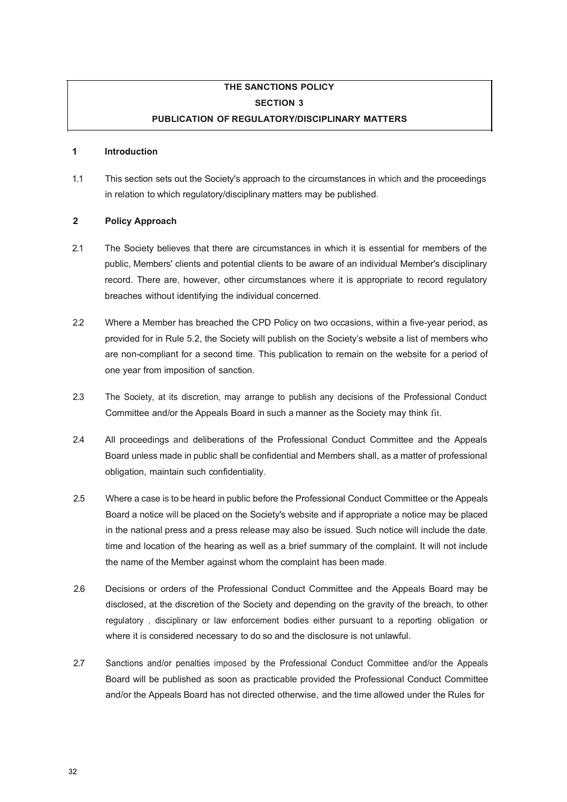

## **THE SANCTIONS POLICY SECTION 3 PUBLICATION OF REGULATORY/DISCIPLINARY MATTERS**

#### **1 Introduction**

1.1 This section sets out the Society's approach to the circumstances in which and the proceedings in relation to which regulatory/disciplinary matters may be published.

#### **2 Policy Approach**

- 2.1 The Society believes that there are circumstances in which it is essential for members of the public, Members' clients and potential clients to be aware of an individual Member's disciplinary record. There are, however, other circumstances where it is appropriate to record regulatory breaches without identifying the individual concerned.
- 2.2 Where a Member has breached the CPD Policy on two occasions, within a five-year period, as provided for in Rule 5.2, the Society will publish on the Society's website a list of members who are non-compliant for a second time. This publication to remain on the website for a period of one year from imposition of sanction.
- 2.3 The Society, at its discretion, may arrange to publish any decisions of the Professional Conduct Committee and/or the Appeals Board in such a manner as the Society may think fit.
- 2.4 All proceedings and deliberations of the Professional Conduct Committee and the Appeals Board unless made in public shall be confidential and Members shall, as a matter of professional obligation, maintain such confidentiality.
- 2.5 Where a case is to be heard in public before the Professional Conduct Committee or the Appeals Board a notice will be placed on the Society's website and if appropriate a notice may be placed in the national press and a press release may also be issued. Such notice will include the date, time and location of the hearing as well as a brief summary of the complaint. It will not include the name of the Member against whom the complaint has been made.
- 2.6 Decisions or orders of the Professional Conduct Committee and the Appeals Board may be disclosed, at the discretion of the Society and depending on the gravity of the breach, to other regulatory , disciplinary or law enforcement bodies either pursuant to a reporting obligation or where it is considered necessary to do so and the disclosure is not unlawful.
- 2.7 Sanctions and/or penalties imposed by the Professional Conduct Committee and/or the Appeals Board will be published as soon as practicable provided the Professional Conduct Committee and/or the Appeals Board has not directed otherwise, and the time allowed under the Rules for